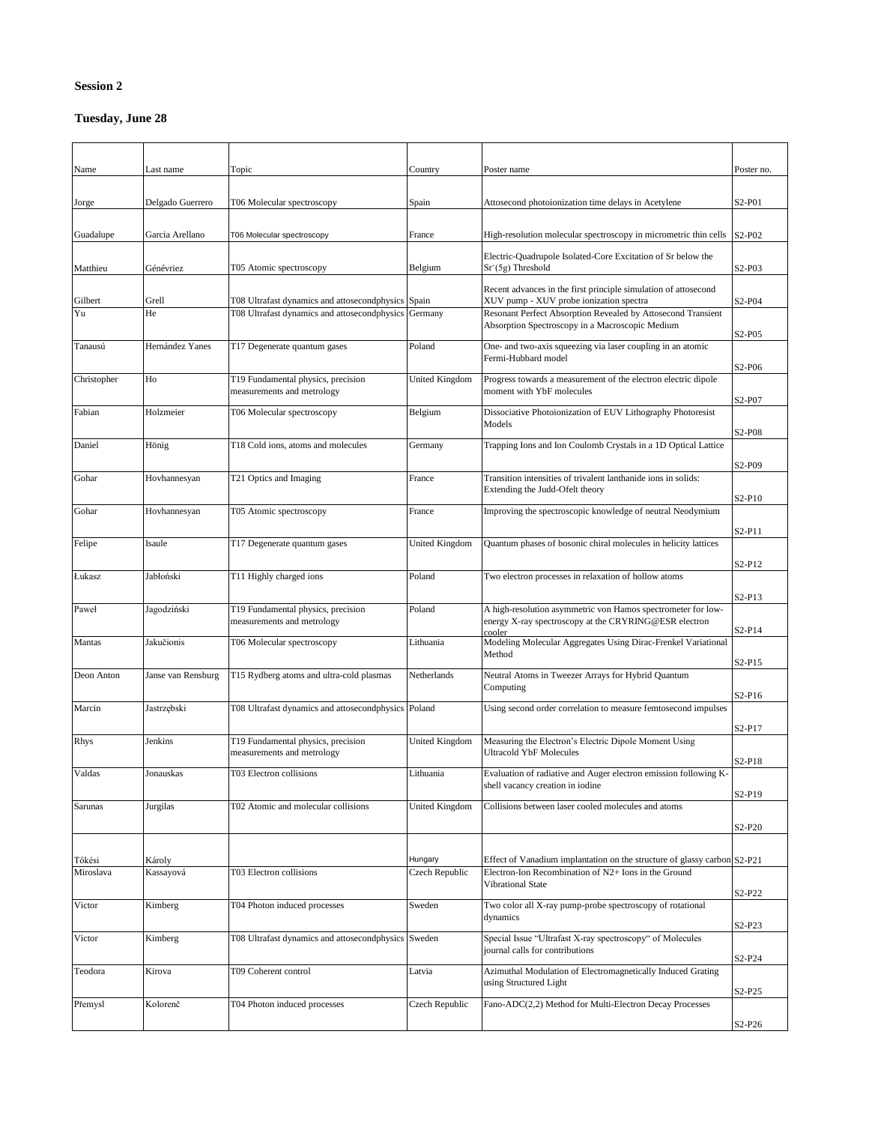## **Session 2**

## **Tuesday, June 28**

| Name                | Last name           | Topic                                                            | Country                   | Poster name                                                                                                                                                  | Poster no.                                |
|---------------------|---------------------|------------------------------------------------------------------|---------------------------|--------------------------------------------------------------------------------------------------------------------------------------------------------------|-------------------------------------------|
| Jorge               | Delgado Guerrero    | T06 Molecular spectroscopy                                       | Spain                     | Attosecond photoionization time delays in Acetylene                                                                                                          | S <sub>2</sub> -P <sub>01</sub>           |
| Guadalupe           | Garcia Arellano     | T06 Molecular spectroscopy                                       | France                    | High-resolution molecular spectroscopy in micrometric thin cells                                                                                             | S2-P02                                    |
| Matthieu            | Génévriez           | T05 Atomic spectroscopy                                          | Belgium                   | Electric-Quadrupole Isolated-Core Excitation of Sr below the<br>$Sr+(5g)$ Threshold                                                                          | S <sub>2</sub> -P <sub>03</sub>           |
| Gilbert             | Grell               | T08 Ultrafast dynamics and attosecondphysics Spain               |                           | Recent advances in the first principle simulation of attosecond<br>XUV pump - XUV probe ionization spectra                                                   | S <sub>2</sub> -P <sub>04</sub>           |
| Yu                  | He                  | T08 Ultrafast dynamics and attosecondphysics Germany             |                           | Resonant Perfect Absorption Revealed by Attosecond Transient<br>Absorption Spectroscopy in a Macroscopic Medium                                              | S <sub>2</sub> -P <sub>05</sub>           |
| Tanausú             | Hernández Yanes     | T17 Degenerate quantum gases                                     | Poland                    | One- and two-axis squeezing via laser coupling in an atomic<br>Fermi-Hubbard model                                                                           | S <sub>2</sub> -P <sub>06</sub>           |
| Christopher         | Ho                  | T19 Fundamental physics, precision<br>measurements and metrology | <b>United Kingdom</b>     | Progress towards a measurement of the electron electric dipole<br>moment with YbF molecules                                                                  |                                           |
| Fabian              | Holzmeier           | T06 Molecular spectroscopy                                       | Belgium                   | Dissociative Photoionization of EUV Lithography Photoresist<br>Models                                                                                        | S <sub>2</sub> -P <sub>07</sub>           |
| Daniel              | Hönig               | T18 Cold ions, atoms and molecules                               | Germany                   | Trapping Ions and Ion Coulomb Crystals in a 1D Optical Lattice                                                                                               | S <sub>2</sub> -P <sub>08</sub>           |
| Gohar               | Hovhannesyan        | T21 Optics and Imaging                                           | France                    | Transition intensities of trivalent lanthanide ions in solids:<br>Extending the Judd-Ofelt theory                                                            | S2-P09                                    |
| Gohar               | Hovhannesyan        | T05 Atomic spectroscopy                                          | France                    | Improving the spectroscopic knowledge of neutral Neodymium                                                                                                   | S <sub>2</sub> -P <sub>10</sub>           |
| Felipe              | Isaule              | T17 Degenerate quantum gases                                     | <b>United Kingdom</b>     | Quantum phases of bosonic chiral molecules in helicity lattices                                                                                              | S <sub>2</sub> -P <sub>11</sub>           |
| Lukasz              | Jabłoński           | T11 Highly charged ions                                          | Poland                    | Two electron processes in relaxation of hollow atoms                                                                                                         | S2-P12                                    |
| Paweł               | Jagodziński         | T19 Fundamental physics, precision<br>measurements and metrology | Poland                    | A high-resolution asymmetric von Hamos spectrometer for low-<br>energy X-ray spectroscopy at the CRYRING@ESR electron                                        | $S2-P13$                                  |
| Mantas              | Jakučionis          | T06 Molecular spectroscopy                                       | Lithuania                 | cooler<br>Modeling Molecular Aggregates Using Dirac-Frenkel Variational<br>Method                                                                            | S2-P14                                    |
| Deon Anton          | Janse van Rensburg  | T15 Rydberg atoms and ultra-cold plasmas                         | Netherlands               | Neutral Atoms in Tweezer Arrays for Hybrid Quantum<br>Computing                                                                                              | S2-P15                                    |
| Marcin              | Jastrzębski         | T08 Ultrafast dynamics and attosecondphysics Poland              |                           | Using second order correlation to measure femtosecond impulses                                                                                               | S2-P16                                    |
| Rhys                | Jenkins             | T19 Fundamental physics, precision                               | <b>United Kingdom</b>     | Measuring the Electron's Electric Dipole Moment Using                                                                                                        | S <sub>2</sub> -P <sub>17</sub>           |
| Valdas              | Jonauskas           | measurements and metrology<br>T03 Electron collisions            | Lithuania                 | <b>Ultracold YbF Molecules</b><br>Evaluation of radiative and Auger electron emission following K-                                                           | S <sub>2</sub> -P <sub>18</sub>           |
| Sarunas             | Jurgilas            | T02 Atomic and molecular collisions                              | <b>United Kingdom</b>     | shell vacancy creation in iodine<br>Collisions between laser cooled molecules and atoms                                                                      | S2-P19                                    |
|                     |                     |                                                                  |                           |                                                                                                                                                              | S <sub>2</sub> -P <sub>20</sub>           |
| Tőkési<br>Miroslava | Károly<br>Kassayová | T03 Electron collisions                                          | Hungary<br>Czech Republic | Effect of Vanadium implantation on the structure of glassy carbon S2-P21<br>Electron-Ion Recombination of N2+ Ions in the Ground<br><b>Vibrational State</b> |                                           |
| Victor              | Kimberg             | T04 Photon induced processes                                     | Sweden                    | Two color all X-ray pump-probe spectroscopy of rotational<br>dynamics                                                                                        | S2-P22                                    |
| Victor              | Kimberg             | T08 Ultrafast dynamics and attosecondphysics Sweden              |                           | Special Issue "Ultrafast X-ray spectroscopy" of Molecules<br>journal calls for contributions                                                                 | S2-P23                                    |
| Teodora             | Kirova              | T09 Coherent control                                             | Latvia                    | Azimuthal Modulation of Electromagnetically Induced Grating<br>using Structured Light                                                                        | S <sub>2</sub> -P <sub>24</sub>           |
| Přemysl             | Kolorenč            | T04 Photon induced processes                                     | Czech Republic            | Fano-ADC(2,2) Method for Multi-Electron Decay Processes                                                                                                      | S <sub>2</sub> -P <sub>25</sub><br>S2-P26 |
|                     |                     |                                                                  |                           |                                                                                                                                                              |                                           |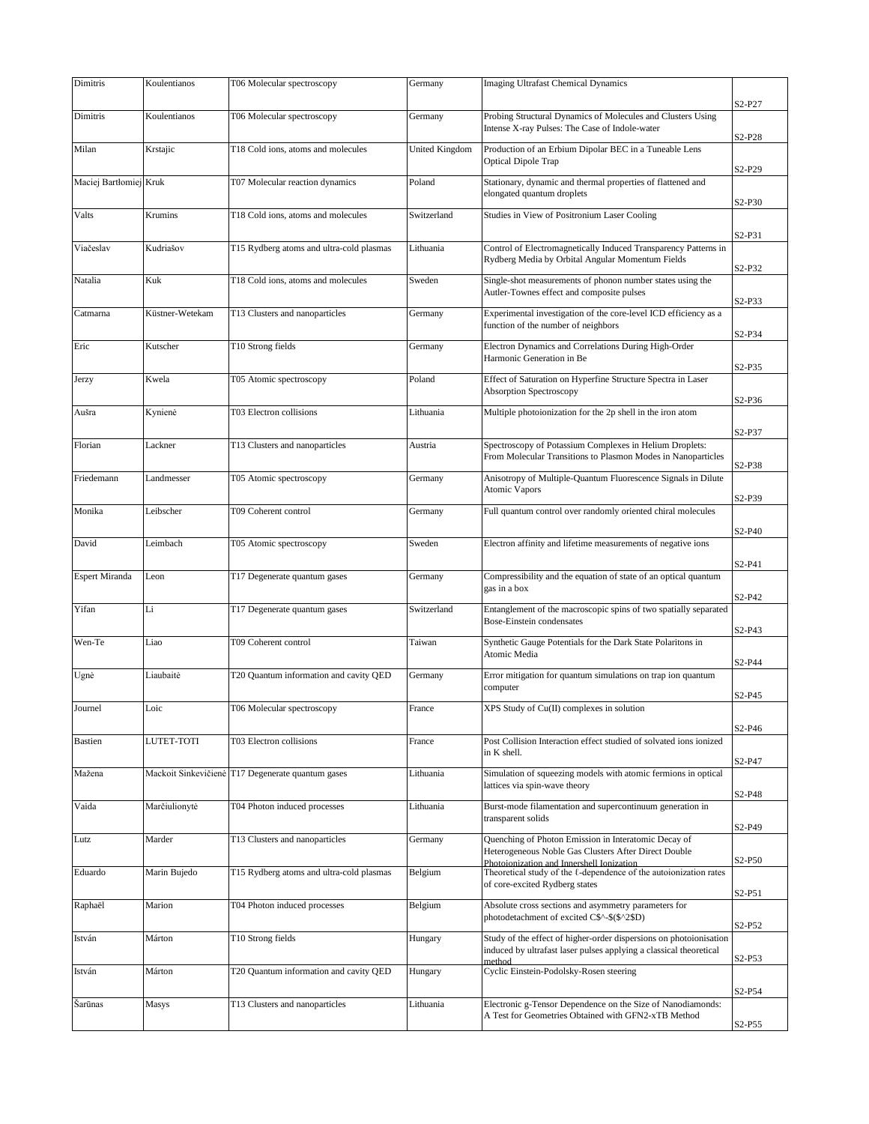| Dimitris               | Koulentianos    | T06 Molecular spectroscopy                        | Germany               | <b>Imaging Ultrafast Chemical Dynamics</b>                                                                                                             |                                 |
|------------------------|-----------------|---------------------------------------------------|-----------------------|--------------------------------------------------------------------------------------------------------------------------------------------------------|---------------------------------|
|                        |                 |                                                   |                       |                                                                                                                                                        | S2-P27                          |
| Dimitris               | Koulentianos    | T06 Molecular spectroscopy                        | Germany               | Probing Structural Dynamics of Molecules and Clusters Using<br>Intense X-ray Pulses: The Case of Indole-water                                          | S <sub>2</sub> -P <sub>28</sub> |
| Milan                  | Krstajic        | T18 Cold ions, atoms and molecules                | <b>United Kingdom</b> | Production of an Erbium Dipolar BEC in a Tuneable Lens<br><b>Optical Dipole Trap</b>                                                                   | S <sub>2</sub> -P <sub>29</sub> |
| Maciej Bartłomiej Kruk |                 | T07 Molecular reaction dynamics                   | Poland                | Stationary, dynamic and thermal properties of flattened and<br>elongated quantum droplets                                                              | S2-P30                          |
| Valts                  | Krumins         | T18 Cold ions, atoms and molecules                | Switzerland           | Studies in View of Positronium Laser Cooling                                                                                                           |                                 |
| Viačeslav              | Kudriašov       | T15 Rydberg atoms and ultra-cold plasmas          | Lithuania             | Control of Electromagnetically Induced Transparency Patterns in<br>Rydberg Media by Orbital Angular Momentum Fields                                    | S2-P31                          |
| Natalia                | Kuk             | T18 Cold ions, atoms and molecules                | Sweden                | Single-shot measurements of phonon number states using the<br>Autler-Townes effect and composite pulses                                                | S2-P32                          |
| Catmarna               | Küstner-Wetekam | T13 Clusters and nanoparticles                    | Germany               | Experimental investigation of the core-level ICD efficiency as a<br>function of the number of neighbors                                                | S2-P33                          |
| Eric                   | Kutscher        | T10 Strong fields                                 | Germany               | Electron Dynamics and Correlations During High-Order<br>Harmonic Generation in Be                                                                      | S2-P34                          |
| Jerzy                  | Kwela           | T05 Atomic spectroscopy                           | Poland                | Effect of Saturation on Hyperfine Structure Spectra in Laser<br>Absorption Spectroscopy                                                                | S <sub>2</sub> -P <sub>35</sub> |
| Aušra                  | Kynienė         | T03 Electron collisions                           | Lithuania             | Multiple photoionization for the 2p shell in the iron atom                                                                                             | S <sub>2</sub> -P <sub>36</sub> |
| Florian                | Lackner         | T13 Clusters and nanoparticles                    | Austria               | Spectroscopy of Potassium Complexes in Helium Droplets:                                                                                                | S2-P37                          |
|                        |                 |                                                   |                       | From Molecular Transitions to Plasmon Modes in Nanoparticles                                                                                           | S2-P38                          |
| Friedemann             | Landmesser      | T05 Atomic spectroscopy                           | Germany               | Anisotropy of Multiple-Quantum Fluorescence Signals in Dilute<br>Atomic Vapors                                                                         | S <sub>2</sub> -P <sub>39</sub> |
| Monika                 | Leibscher       | T09 Coherent control                              | Germany               | Full quantum control over randomly oriented chiral molecules                                                                                           | S2-P40                          |
| David                  | Leimbach        | T05 Atomic spectroscopy                           | Sweden                | Electron affinity and lifetime measurements of negative ions                                                                                           | S2-P41                          |
| Espert Miranda         | Leon            | T17 Degenerate quantum gases                      | Germany               | Compressibility and the equation of state of an optical quantum<br>gas in a box                                                                        | S2-P42                          |
| Yifan                  | Li              | T17 Degenerate quantum gases                      | Switzerland           | Entanglement of the macroscopic spins of two spatially separated<br>Bose-Einstein condensates                                                          | S2-P43                          |
| Wen-Te                 | Liao            | T09 Coherent control                              | Taiwan                | Synthetic Gauge Potentials for the Dark State Polaritons in<br>Atomic Media                                                                            | S2-P44                          |
| Ugnė                   | Liaubaitė       | T20 Quantum information and cavity QED            | Germany               | Error mitigation for quantum simulations on trap ion quantum<br>computer                                                                               | S <sub>2</sub> -P <sub>45</sub> |
| Journel                | Loic            | T06 Molecular spectroscopy                        | France                | XPS Study of Cu(II) complexes in solution                                                                                                              | S2-P46                          |
| Bastien                | LUTET-TOTI      | T03 Electron collisions                           | France                | Post Collision Interaction effect studied of solvated ions ionized<br>in K shell.                                                                      | S2-P47                          |
| Mažena                 |                 | Mackoit Sinkevičienė T17 Degenerate quantum gases | Lithuania             | Simulation of squeezing models with atomic fermions in optical<br>lattices via spin-wave theory                                                        |                                 |
| Vaida                  | Marčiulionytė   | T04 Photon induced processes                      | Lithuania             | Burst-mode filamentation and supercontinuum generation in<br>transparent solids                                                                        | S2-P48                          |
| Lutz                   | Marder          | T13 Clusters and nanoparticles                    | Germany               | Quenching of Photon Emission in Interatomic Decay of<br>Heterogeneous Noble Gas Clusters After Direct Double                                           | S2-P49                          |
| Eduardo                | Marin Bujedo    | T15 Rydberg atoms and ultra-cold plasmas          | Belgium               | Photoionization and Innershell Ionization<br>Theoretical study of the $\ell$ -dependence of the autoionization rates<br>of core-excited Rydberg states | S2-P50                          |
| Raphaël                | Marion          | T04 Photon induced processes                      | Belgium               | Absolute cross sections and asymmetry parameters for<br>photodetachment of excited C\$^-\$(\$^2\$D)                                                    | S <sub>2</sub> -P <sub>51</sub> |
| István                 | Márton          | T10 Strong fields                                 | Hungary               | Study of the effect of higher-order dispersions on photoionisation<br>induced by ultrafast laser pulses applying a classical theoretical               | S <sub>2</sub> -P <sub>52</sub> |
| István                 | Márton          | T20 Quantum information and cavity QED            | Hungary               | method<br>Cyclic Einstein-Podolsky-Rosen steering                                                                                                      | S <sub>2</sub> -P <sub>53</sub> |
| Sarūnas                | Masys           | T13 Clusters and nanoparticles                    | Lithuania             | Electronic g-Tensor Dependence on the Size of Nanodiamonds:                                                                                            | S2-P54                          |
|                        |                 |                                                   |                       | A Test for Geometries Obtained with GFN2-xTB Method                                                                                                    | S2-P55                          |